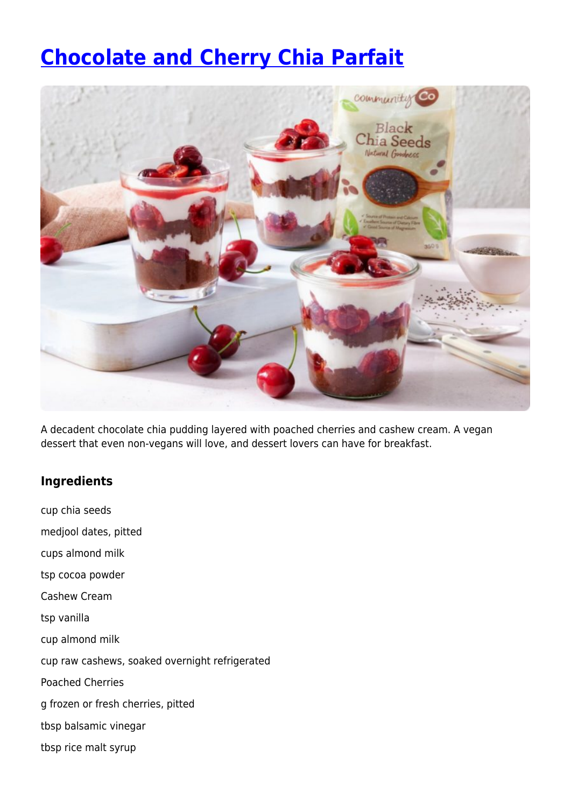## **[Chocolate and Cherry Chia Parfait](https://www.iga.com.au/recipes/healthy-living/chocolate-and-cherry-chia-parfait/)**



A decadent chocolate chia pudding layered with poached cherries and cashew cream. A vegan dessert that even non-vegans will love, and dessert lovers can have for breakfast.

## **Ingredients**

cup chia seeds medjool dates, pitted cups almond milk tsp cocoa powder Cashew Cream tsp vanilla cup almond milk cup raw cashews, soaked overnight refrigerated Poached Cherries g frozen or fresh cherries, pitted tbsp balsamic vinegar tbsp rice malt syrup